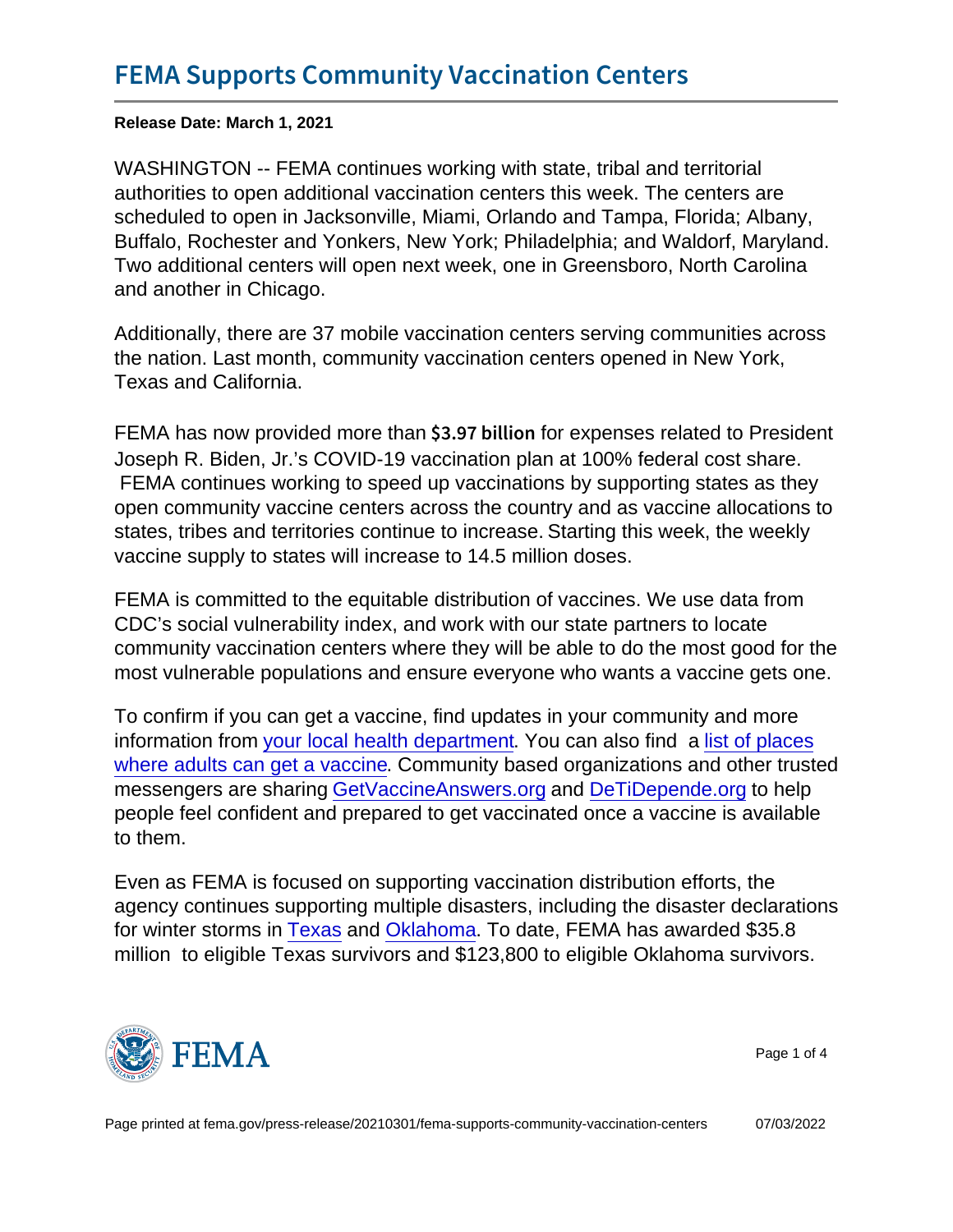Release Date: March 1, 2021

WASHINGTON -- FEMA continues working with state, tribal and territorial authorities to open additional vaccination centers this week. The centers are scheduled to open in Jacksonville, Miami, Orlando and Tampa, Florida; Albany, Buffalo, Rochester and Yonkers, New York; Philadelphia; and Waldorf, Maryland. Two additional centers will open next week, one in Greensboro, North Carolina and another in Chicago.

Additionally, there are 37 mobile vaccination centers serving communities across the nation. Last month, community vaccination centers opened in New York, Texas and California.

FEMA has now provided more than  $$3.97$  b for express related to President Joseph R. Biden, Jr.'s COVID-19 vaccination plan at 100% federal cost share. FEMA continues working to speed up vaccinations by supporting states as they open community vaccine centers across the country and as vaccine allocations to states, tribes and territories continue to increase. Starting this week, the weekly vaccine supply to states will increase to 14.5 million doses.

FEMA is committed to the equitable distribution of vaccines. We use data from CDC's social vulnerability index, and work with our state partners to locate community vaccination centers where they will be able to do the most good for the most vulnerable populations and ensure everyone who wants a vaccine gets one.

To confirm if you can get a vaccine, find updates in your community and more information from [your local health department](http://www.cdc.gov/publichealthgateway/healthdirectories/index.html/). You can also find a [list of places](https://vaccinefinder.org/search/) [where adults can get a vaccine.](https://vaccinefinder.org/search/) Community based organizations and other trusted messengers are sharing [GetVaccineAnswers.org](https://urldefense.us/v3/__http:/links.mail1.spopessentials1.com/ctt?ms=MzMxMDA3MDcS1&kn=3&r=NDA1Nzg3MTkyNTk1S0&b=0&j=MTg4NDIyOTM3NQS2&mt=1&rt=0__;!!BClRuOV5cvtbuNI!RVMTka9TIID71dkTHLuyMfysDG-KaX7xEqKfUxARksrUvlK2Uc2wAoZLQu1hCvsDb_-Iy9p-$) and [DeTiDepende.org](https://urldefense.us/v3/__http:/links.mail1.spopessentials1.com/ctt?ms=MzMxMDA3MDcS1&kn=1&r=NDA1Nzg3MTkyNTk1S0&b=0&j=MTg4NDIyOTM3NQS2&mt=1&rt=0__;!!BClRuOV5cvtbuNI!RVMTka9TIID71dkTHLuyMfysDG-KaX7xEqKfUxARksrUvlK2Uc2wAoZLQu1hCvsDb_5obVcH$) to help people feel confident and prepared to get vaccinated once a vaccine is available to them.

Even as FEMA is focused on supporting vaccination distribution efforts, the agency continues supporting multiple disasters, including the disaster declarations for winter storms in [Texas](https://www.fema.gov/press-release/20210220/president-joseph-r-biden-jr-approves-major-disaster-declaration-texas) and [Oklahoma.](https://www.fema.gov/press-release/20210225/president-joseph-r-biden-jr-approves-major-disaster-declaration-oklahoma) To date, FEMA has awarded \$35.8 million to eligible Texas survivors and \$123,800 to eligible Oklahoma survivors.



Page 1 of 4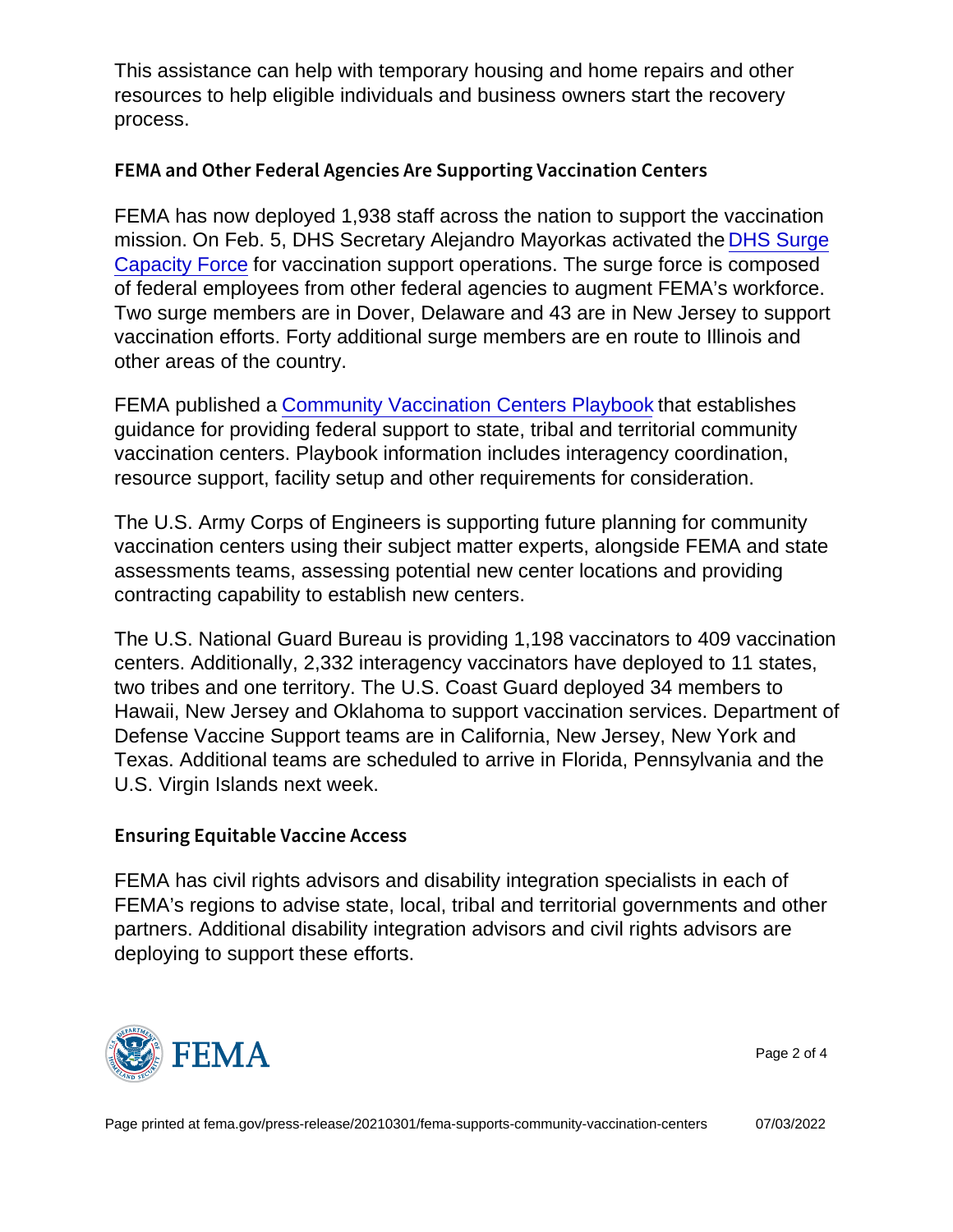This assistance can help with temporary housing and home repairs and other resources to help eligible individuals and business owners start the recovery process.

## FEMA and Other Federal Agencies Are Supporting Vaccinat

FEMA has now deployed 1,938 staff across the nation to support the vaccination mission. On Feb. 5, DHS Secretary Alejandro Mayorkas activated the [DHS Surge](https://youtu.be/0ByY1lQkKpQ) [Capacity Force](https://youtu.be/0ByY1lQkKpQ) for vaccination support operations. The surge force is composed of federal employees from other federal agencies to augment FEMA's workforce. Two surge members are in Dover, Delaware and 43 are in New Jersey to support vaccination efforts. Forty additional surge members are en route to Illinois and other areas of the country.

FEMA published a [Community Vaccination Centers Playbook](https://www.fema.gov/sites/default/files/documents/fema_community-vaccination-centers_playbook.pdf) that establishes guidance for providing federal support to state, tribal and territorial community vaccination centers. Playbook information includes interagency coordination, resource support, facility setup and other requirements for consideration.

The U.S. Army Corps of Engineers is supporting future planning for community vaccination centers using their subject matter experts, alongside FEMA and state assessments teams, assessing potential new center locations and providing contracting capability to establish new centers.

The U.S. National Guard Bureau is providing 1,198 vaccinators to 409 vaccination centers. Additionally, 2,332 interagency vaccinators have deployed to 11 states, two tribes and one territory. The U.S. Coast Guard deployed 34 members to Hawaii, New Jersey and Oklahoma to support vaccination services. Department of Defense Vaccine Support teams are in California, New Jersey, New York and Texas. Additional teams are scheduled to arrive in Florida, Pennsylvania and the U.S. Virgin Islands next week.

## Ensuring Equitable Vaccine Access

FEMA has civil rights advisors and disability integration specialists in each of FEMA's regions to advise state, local, tribal and territorial governments and other partners. Additional disability integration advisors and civil rights advisors are deploying to support these efforts.



Page 2 of 4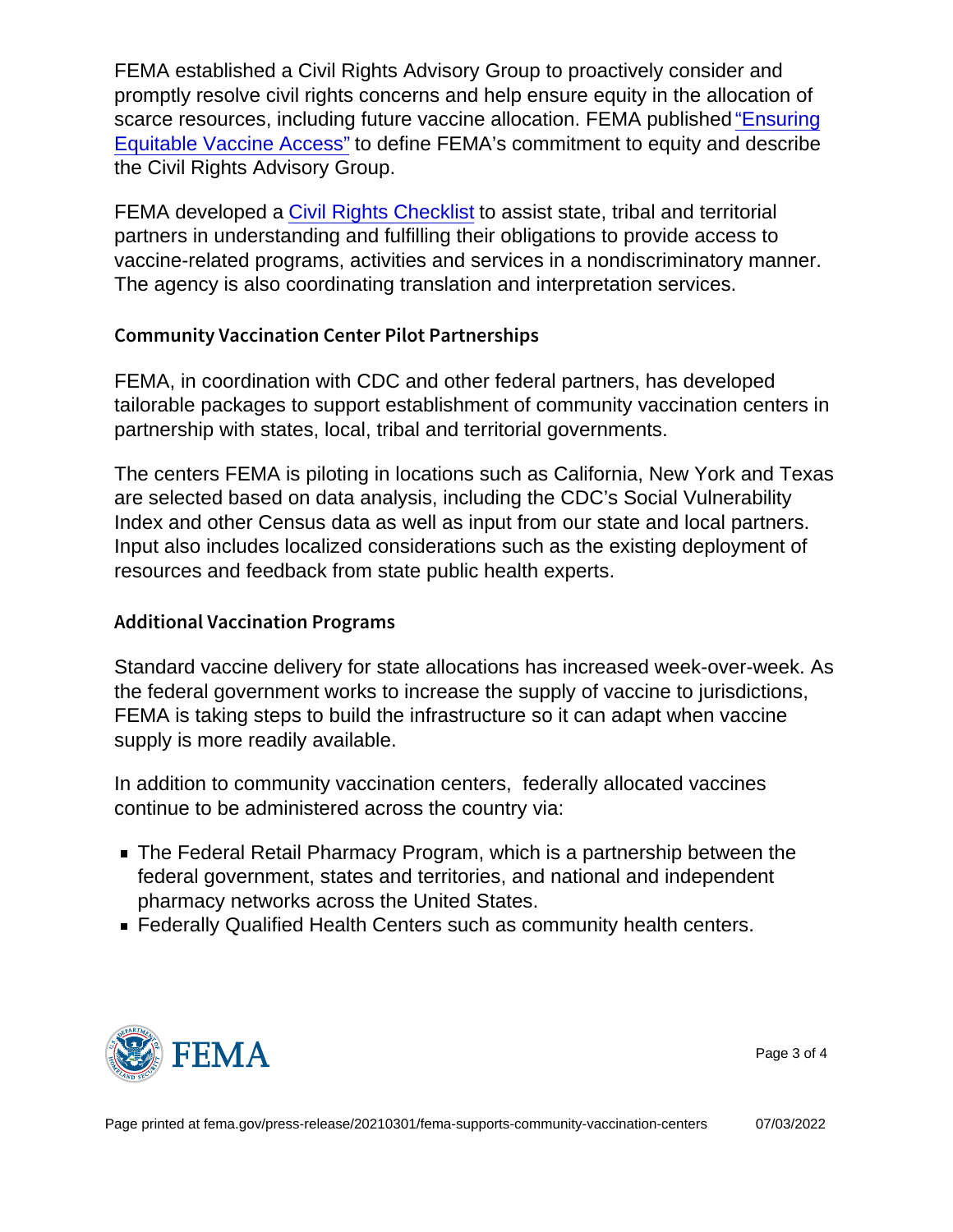FEMA established a Civil Rights Advisory Group to proactively consider and promptly resolve civil rights concerns and help ensure equity in the allocation of scarce resources, including future vaccine allocation. FEMA published ["Ensuring](https://www.fema.gov/blog/fema-takes-action-ensure-equity-vaccine-distribution) [Equitable Vaccine Access"](https://www.fema.gov/blog/fema-takes-action-ensure-equity-vaccine-distribution) to define FEMA's commitment to equity and describe the Civil Rights Advisory Group.

FEMA developed a [Civil Rights Checklist](https://www.fema.gov/sites/default/files/documents/fema_civil-rights-covid-19_vaccine_checklist_02-11-2021.pdf) to assist state, tribal and territorial partners in understanding and fulfilling their obligations to provide access to vaccine-related programs, activities and services in a nondiscriminatory manner. The agency is also coordinating translation and interpretation services.

## Community Vaccination Center Pilot Partnerships

FEMA, in coordination with CDC and other federal partners, has developed tailorable packages to support establishment of community vaccination centers in partnership with states, local, tribal and territorial governments.

The centers FEMA is piloting in locations such as California, New York and Texas are selected based on data analysis, including the CDC's Social Vulnerability Index and other Census data as well as input from our state and local partners. Input also includes localized considerations such as the existing deployment of resources and feedback from state public health experts.

## Additional Vaccination Programs

Standard vaccine delivery for state allocations has increased week-over-week. As the federal government works to increase the supply of vaccine to jurisdictions, FEMA is taking steps to build the infrastructure so it can adapt when vaccine supply is more readily available.

In addition to community vaccination centers, federally allocated vaccines continue to be administered across the country via:

- The Federal Retail Pharmacy Program, which is a partnership between the federal government, states and territories, and national and independent pharmacy networks across the United States.
- Federally Qualified Health Centers such as community health centers.



Page 3 of 4